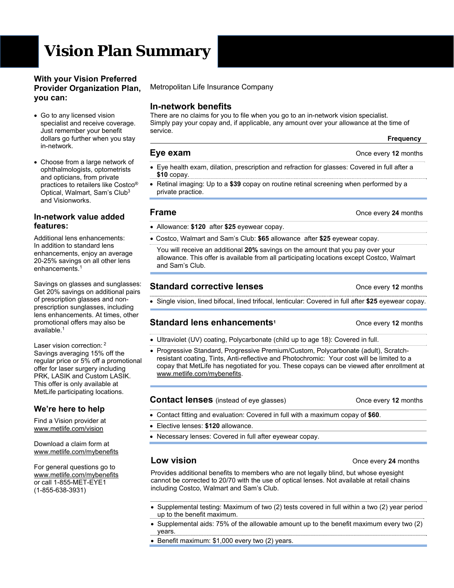# **Vision Plan Summary**

### **With your Vision Preferred Provider Organization Plan, you can:**

- Go to any licensed vision specialist and receive coverage. Just remember your benefit dollars go further when you stay in-network.
- Choose from a large network of ophthalmologists, optometrists and opticians, from private practices to retailers like Costco® Optical, Walmart, Sam's Club3 and Visionworks.

### **In-network value added features:**

Additional lens enhancements: In addition to standard lens enhancements, enjoy an average 20-25% savings on all other lens enhancements.<sup>1</sup>

Savings on glasses and sunglasses: Get 20% savings on additional pairs of prescription glasses and nonprescription sunglasses, including lens enhancements. At times, other promotional offers may also be  $a$ vailable.<sup>1</sup>

Laser vision correction: <sup>2</sup> Savings averaging 15% off the regular price or 5% off a promotional offer for laser surgery including PRK, LASIK and Custom LASIK. This offer is only available at MetLife participating locations.

# **We're here to help**

Find a Vision provider at www.metlife.com/vision

Download a claim form at www.metlife.com/mybenefits

For general questions go to www.metlife.com/mybenefits or call 1-855-MET-EYE1 (1-855-638-3931)

Metropolitan Life Insurance Company

### **In-network benefits**

There are no claims for you to file when you go to an in-network vision specialist. Simply pay your copay and, if applicable, any amount over your allowance at the time of service.

# **Eye exam CONCERN EVERS CONCERN EVERS CONCERN EVERS CONCERN EVERS CONCERN EVERS CONCERN EVERS CONCERN EVERS**

- Eye health exam, dilation, prescription and refraction for glasses: Covered in full after a **\$10** copay.
- Retinal imaging: Up to a **\$39** copay on routine retinal screening when performed by a private practice.

### **Frame Calculate 24** months

- Allowance: **\$120** after **\$25** eyewear copay.
- Costco, Walmart and Sam's Club: **\$65** allowance after **\$25** eyewear copay.

You will receive an additional **20%** savings on the amount that you pay over your allowance. This offer is available from all participating locations except Costco, Walmart and Sam's Club.

# **Standard corrective lenses Canadian Extending Conce every 12 months**

Single vision, lined bifocal, lined trifocal, lenticular: Covered in full after **\$25** eyewear copay.

# **Standard lens enhancements1** Once every **12** months

- Ultraviolet (UV) coating, Polycarbonate (child up to age 18): Covered in full.
- Progressive Standard, Progressive Premium/Custom, Polycarbonate (adult), Scratchresistant coating, Tints, Anti-reflective and Photochromic: Your cost will be limited to a copay that MetLife has negotiated for you. These copays can be viewed after enrollment at www.metlife.com/mybenefits.

### **Contact lenses** (instead of eye glasses) Once every 12 months

- Contact fitting and evaluation: Covered in full with a maximum copay of **\$60**.
- Elective lenses: **\$120** allowance.
- Necessary lenses: Covered in full after eyewear copay.

Provides additional benefits to members who are not legally blind, but whose eyesight cannot be corrected to 20/70 with the use of optical lenses. Not available at retail chains including Costco, Walmart and Sam's Club.

- Supplemental testing: Maximum of two (2) tests covered in full within a two (2) year period up to the benefit maximum.
- Supplemental aids: 75% of the allowable amount up to the benefit maximum every two (2) years.
- Benefit maximum: \$1,000 every two (2) years.

### **Low vision Concernsive Concernsive Conce** every 24 months

 **Frequency**

- 
-